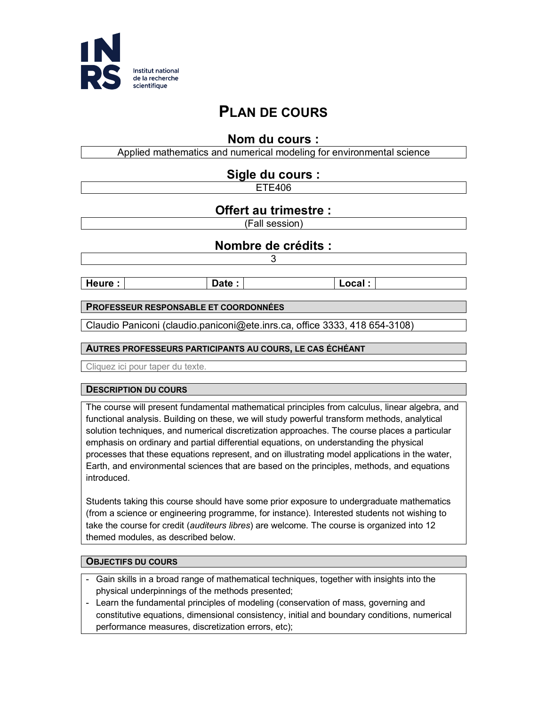

# **PLAN DE COURS**

## **Nom du cours :**

Applied mathematics and numerical modeling for environmental science **Sigle du cours :** ETE406 **Offert au trimestre :** (Fall session) **Nombre de crédits :** 3 **Heure** :  $\vert$  **Date** :  $\vert$  **Date** :  $\vert$  **Local** : **PROFESSEUR RESPONSABLE ET COORDONNÉES** Claudio Paniconi (claudio.paniconi@ete.inrs.ca, office 3333, 418 654-3108) **AUTRES PROFESSEURS PARTICIPANTS AU COURS, LE CAS ÉCHÉANT**

Cliquez ici pour taper du texte.

#### **DESCRIPTION DU COURS**

The course will present fundamental mathematical principles from calculus, linear algebra, and functional analysis. Building on these, we will study powerful transform methods, analytical solution techniques, and numerical discretization approaches. The course places a particular emphasis on ordinary and partial differential equations, on understanding the physical processes that these equations represent, and on illustrating model applications in the water, Earth, and environmental sciences that are based on the principles, methods, and equations introduced.

Students taking this course should have some prior exposure to undergraduate mathematics (from a science or engineering programme, for instance). Interested students not wishing to take the course for credit (*auditeurs libres*) are welcome. The course is organized into 12 themed modules, as described below.

#### **OBJECTIFS DU COURS**

- Gain skills in a broad range of mathematical techniques, together with insights into the physical underpinnings of the methods presented;
- Learn the fundamental principles of modeling (conservation of mass, governing and constitutive equations, dimensional consistency, initial and boundary conditions, numerical performance measures, discretization errors, etc);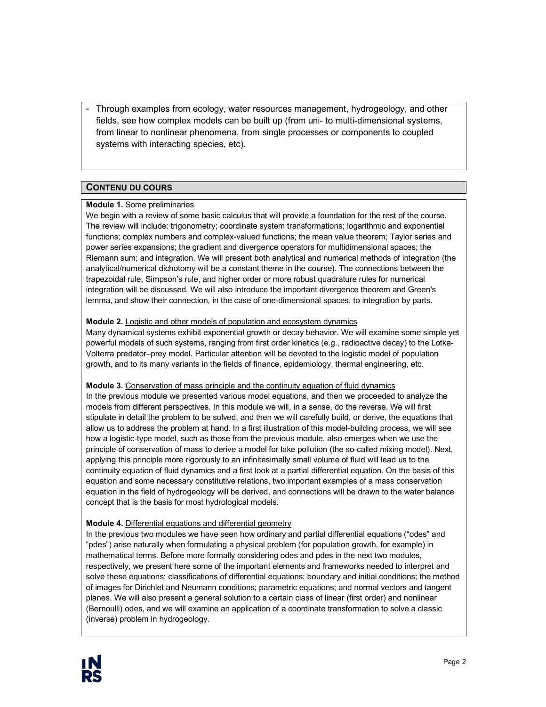- Through examples from ecology, water resources management, hydrogeology, and other fields, see how complex models can be built up (from uni- to multi-dimensional systems, from linear to nonlinear phenomena, from single processes or components to coupled systems with interacting species, etc).

## **CONTENU DU COURS**

#### **Module 1.** Some preliminaries

We begin with a review of some basic calculus that will provide a foundation for the rest of the course. The review will include: trigonometry; coordinate system transformations; logarithmic and exponential functions; complex numbers and complex-valued functions; the mean value theorem; Taylor series and power series expansions; the gradient and divergence operators for multidimensional spaces; the Riemann sum; and integration. We will present both analytical and numerical methods of integration (the analytical/numerical dichotomy will be a constant theme in the course). The connections between the trapezoidal rule, Simpson's rule, and higher order or more robust quadrature rules for numerical integration will be discussed. We will also introduce the important divergence theorem and Green's lemma, and show their connection, in the case of one-dimensional spaces, to integration by parts.

#### **Module 2.** Logistic and other models of population and ecosystem dynamics

Many dynamical systems exhibit exponential growth or decay behavior. We will examine some simple yet powerful models of such systems, ranging from first order kinetics (e.g., radioactive decay) to the Lotka-Volterra predator–prey model. Particular attention will be devoted to the logistic model of population growth, and to its many variants in the fields of finance, epidemiology, thermal engineering, etc.

#### **Module 3.** Conservation of mass principle and the continuity equation of fluid dynamics

In the previous module we presented various model equations, and then we proceeded to analyze the models from different perspectives. In this module we will, in a sense, do the reverse. We will first stipulate in detail the problem to be solved, and then we will carefully build, or derive, the equations that allow us to address the problem at hand. In a first illustration of this model-building process, we will see how a logistic-type model, such as those from the previous module, also emerges when we use the principle of conservation of mass to derive a model for lake pollution (the so-called mixing model). Next, applying this principle more rigorously to an infinitesimally small volume of fluid will lead us to the continuity equation of fluid dynamics and a first look at a partial differential equation. On the basis of this equation and some necessary constitutive relations, two important examples of a mass conservation equation in the field of hydrogeology will be derived, and connections will be drawn to the water balance concept that is the basis for most hydrological models.

#### **Module 4.** Differential equations and differential geometry

In the previous two modules we have seen how ordinary and partial differential equations ("odes" and "pdes") arise naturally when formulating a physical problem (for population growth, for example) in mathematical terms. Before more formally considering odes and pdes in the next two modules, respectively, we present here some of the important elements and frameworks needed to interpret and solve these equations: classifications of differential equations; boundary and initial conditions; the method of images for Dirichlet and Neumann conditions; parametric equations; and normal vectors and tangent planes. We will also present a general solution to a certain class of linear (first order) and nonlinear (Bernoulli) odes, and we will examine an application of a coordinate transformation to solve a classic (inverse) problem in hydrogeology.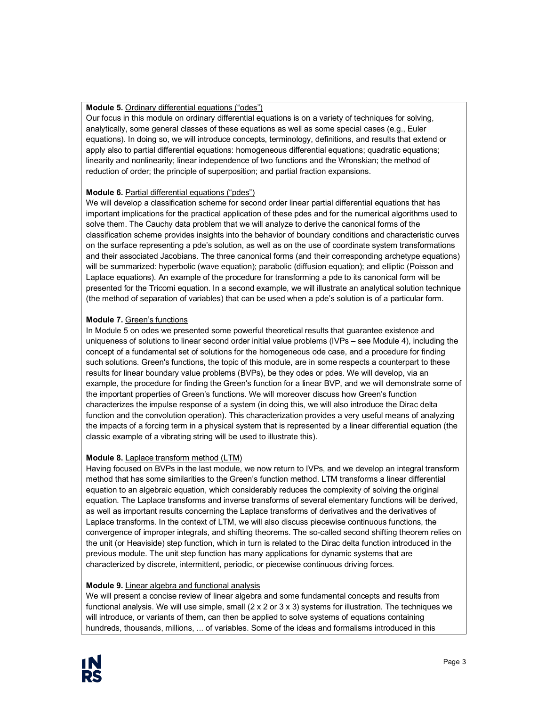#### **Module 5.** Ordinary differential equations ("odes")

Our focus in this module on ordinary differential equations is on a variety of techniques for solving, analytically, some general classes of these equations as well as some special cases (e.g., Euler equations). In doing so, we will introduce concepts, terminology, definitions, and results that extend or apply also to partial differential equations: homogeneous differential equations; quadratic equations; linearity and nonlinearity; linear independence of two functions and the Wronskian; the method of reduction of order; the principle of superposition; and partial fraction expansions.

#### **Module 6.** Partial differential equations ("pdes")

We will develop a classification scheme for second order linear partial differential equations that has important implications for the practical application of these pdes and for the numerical algorithms used to solve them. The Cauchy data problem that we will analyze to derive the canonical forms of the classification scheme provides insights into the behavior of boundary conditions and characteristic curves on the surface representing a pde's solution, as well as on the use of coordinate system transformations and their associated Jacobians. The three canonical forms (and their corresponding archetype equations) will be summarized: hyperbolic (wave equation); parabolic (diffusion equation); and elliptic (Poisson and Laplace equations). An example of the procedure for transforming a pde to its canonical form will be presented for the Tricomi equation. In a second example, we will illustrate an analytical solution technique (the method of separation of variables) that can be used when a pde's solution is of a particular form.

#### **Module 7.** Green's functions

In Module 5 on odes we presented some powerful theoretical results that guarantee existence and uniqueness of solutions to linear second order initial value problems (IVPs – see Module 4), including the concept of a fundamental set of solutions for the homogeneous ode case, and a procedure for finding such solutions. Green's functions, the topic of this module, are in some respects a counterpart to these results for linear boundary value problems (BVPs), be they odes or pdes. We will develop, via an example, the procedure for finding the Green's function for a linear BVP, and we will demonstrate some of the important properties of Green's functions. We will moreover discuss how Green's function characterizes the impulse response of a system (in doing this, we will also introduce the Dirac delta function and the convolution operation). This characterization provides a very useful means of analyzing the impacts of a forcing term in a physical system that is represented by a linear differential equation (the classic example of a vibrating string will be used to illustrate this).

#### **Module 8.** Laplace transform method (LTM)

Having focused on BVPs in the last module, we now return to IVPs, and we develop an integral transform method that has some similarities to the Green's function method. LTM transforms a linear differential equation to an algebraic equation, which considerably reduces the complexity of solving the original equation. The Laplace transforms and inverse transforms of several elementary functions will be derived, as well as important results concerning the Laplace transforms of derivatives and the derivatives of Laplace transforms. In the context of LTM, we will also discuss piecewise continuous functions, the convergence of improper integrals, and shifting theorems. The so-called second shifting theorem relies on the unit (or Heaviside) step function, which in turn is related to the Dirac delta function introduced in the previous module. The unit step function has many applications for dynamic systems that are characterized by discrete, intermittent, periodic, or piecewise continuous driving forces.

#### **Module 9.** Linear algebra and functional analysis

We will present a concise review of linear algebra and some fundamental concepts and results from functional analysis. We will use simple, small  $(2 \times 2 \text{ or } 3 \times 3)$  systems for illustration. The techniques we will introduce, or variants of them, can then be applied to solve systems of equations containing hundreds, thousands, millions, ... of variables. Some of the ideas and formalisms introduced in this

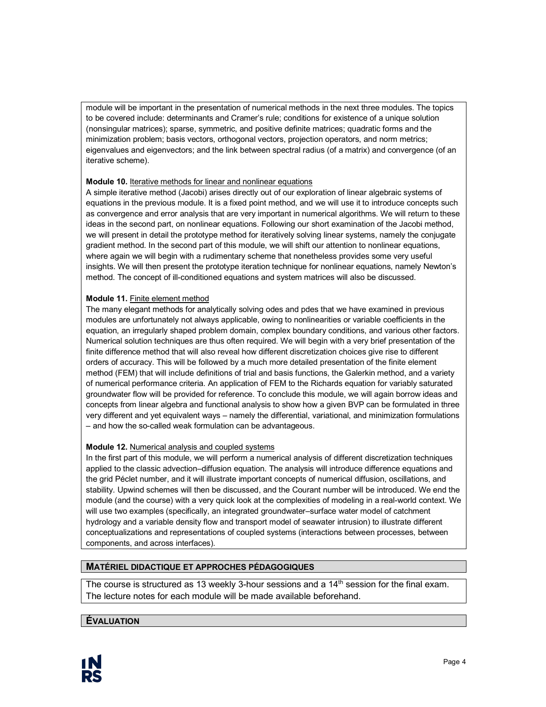module will be important in the presentation of numerical methods in the next three modules. The topics to be covered include: determinants and Cramer's rule; conditions for existence of a unique solution (nonsingular matrices); sparse, symmetric, and positive definite matrices; quadratic forms and the minimization problem; basis vectors, orthogonal vectors, projection operators, and norm metrics; eigenvalues and eigenvectors; and the link between spectral radius (of a matrix) and convergence (of an iterative scheme).

#### **Module 10.** Iterative methods for linear and nonlinear equations

A simple iterative method (Jacobi) arises directly out of our exploration of linear algebraic systems of equations in the previous module. It is a fixed point method, and we will use it to introduce concepts such as convergence and error analysis that are very important in numerical algorithms. We will return to these ideas in the second part, on nonlinear equations. Following our short examination of the Jacobi method, we will present in detail the prototype method for iteratively solving linear systems, namely the conjugate gradient method. In the second part of this module, we will shift our attention to nonlinear equations, where again we will begin with a rudimentary scheme that nonetheless provides some very useful insights. We will then present the prototype iteration technique for nonlinear equations, namely Newton's method. The concept of ill-conditioned equations and system matrices will also be discussed.

#### **Module 11.** Finite element method

The many elegant methods for analytically solving odes and pdes that we have examined in previous modules are unfortunately not always applicable, owing to nonlinearities or variable coefficients in the equation, an irregularly shaped problem domain, complex boundary conditions, and various other factors. Numerical solution techniques are thus often required. We will begin with a very brief presentation of the finite difference method that will also reveal how different discretization choices give rise to different orders of accuracy. This will be followed by a much more detailed presentation of the finite element method (FEM) that will include definitions of trial and basis functions, the Galerkin method, and a variety of numerical performance criteria. An application of FEM to the Richards equation for variably saturated groundwater flow will be provided for reference. To conclude this module, we will again borrow ideas and concepts from linear algebra and functional analysis to show how a given BVP can be formulated in three very different and yet equivalent ways – namely the differential, variational, and minimization formulations – and how the so-called weak formulation can be advantageous.

## **Module 12.** Numerical analysis and coupled systems

In the first part of this module, we will perform a numerical analysis of different discretization techniques applied to the classic advection–diffusion equation. The analysis will introduce difference equations and the grid Péclet number, and it will illustrate important concepts of numerical diffusion, oscillations, and stability. Upwind schemes will then be discussed, and the Courant number will be introduced. We end the module (and the course) with a very quick look at the complexities of modeling in a real-world context. We will use two examples (specifically, an integrated groundwater–surface water model of catchment hydrology and a variable density flow and transport model of seawater intrusion) to illustrate different conceptualizations and representations of coupled systems (interactions between processes, between components, and across interfaces).

## **MATÉRIEL DIDACTIQUE ET APPROCHES PÉDAGOGIQUES**

The course is structured as 13 weekly 3-hour sessions and a  $14<sup>th</sup>$  session for the final exam. The lecture notes for each module will be made available beforehand.

## **ÉVALUATION**